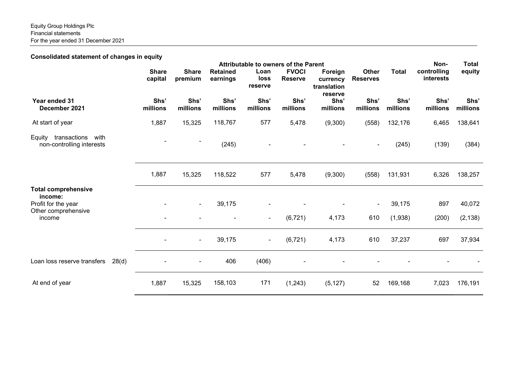Equity Group Holdings Plc Financial statements For the year ended 31 December 2021

Consolidated statement of changes in equity

|                                                             | <b>Attributable to owners of the Parent</b> |                         |                             |                         |                                |                                               |                                 |                  | Non-                     | <b>Total</b>     |
|-------------------------------------------------------------|---------------------------------------------|-------------------------|-----------------------------|-------------------------|--------------------------------|-----------------------------------------------|---------------------------------|------------------|--------------------------|------------------|
|                                                             | <b>Share</b><br>capital                     | <b>Share</b><br>premium | <b>Retained</b><br>earnings | Loan<br>loss<br>reserve | <b>FVOCI</b><br><b>Reserve</b> | Foreign<br>currency<br>translation<br>reserve | <b>Other</b><br><b>Reserves</b> | <b>Total</b>     | controlling<br>interests | equity           |
| Year ended 31<br>December 2021                              | Shs'<br>millions                            | Shs'<br>millions        | Shs'<br>millions            | Shs'<br>millions        | Shs'<br>millions               | Shs'<br>millions                              | Shs'<br>millions                | Shs'<br>millions | Shs'<br>millions         | Shs'<br>millions |
| At start of year                                            | 1,887                                       | 15,325                  | 118,767                     | 577                     | 5,478                          | (9,300)                                       | (558)                           | 132,176          | 6,465                    | 138,641          |
| transactions<br>Equity<br>with<br>non-controlling interests |                                             |                         | (245)                       |                         |                                |                                               |                                 | (245)            | (139)                    | (384)            |
|                                                             | 1,887                                       | 15,325                  | 118,522                     | 577                     | 5,478                          | (9,300)                                       | (558)                           | 131,931          | 6,326                    | 138,257          |
| <b>Total comprehensive</b><br>income:                       |                                             |                         |                             |                         |                                |                                               |                                 |                  |                          |                  |
| Profit for the year<br>Other comprehensive                  |                                             | $\blacksquare$          | 39,175                      |                         |                                |                                               |                                 | 39,175           | 897                      | 40,072           |
| income                                                      |                                             |                         |                             | $\blacksquare$          | (6, 721)                       | 4,173                                         | 610                             | (1,938)          | (200)                    | (2, 138)         |
|                                                             | $\blacksquare$                              | $\blacksquare$          | 39,175                      | $\blacksquare$          | (6, 721)                       | 4,173                                         | 610                             | 37,237           | 697                      | 37,934           |
| Loan loss reserve transfers<br>28(d)                        |                                             |                         | 406                         | (406)                   |                                |                                               |                                 |                  |                          |                  |
| At end of year                                              | 1,887                                       | 15,325                  | 158,103                     | 171                     | (1,243)                        | (5, 127)                                      | 52                              | 169,168          | 7,023                    | 176,191          |